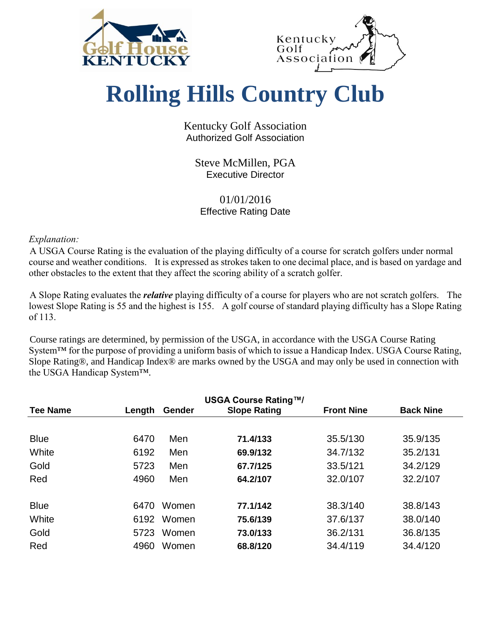



## **Rolling Hills Country Club**

Kentucky Golf Association Authorized Golf Association

Steve McMillen, PGA Executive Director

## 01/01/2016 Effective Rating Date

*Explanation:*

A USGA Course Rating is the evaluation of the playing difficulty of a course for scratch golfers under normal course and weather conditions. It is expressed as strokes taken to one decimal place, and is based on yardage and other obstacles to the extent that they affect the scoring ability of a scratch golfer.

A Slope Rating evaluates the *relative* playing difficulty of a course for players who are not scratch golfers. The lowest Slope Rating is 55 and the highest is 155. A golf course of standard playing difficulty has a Slope Rating of 113.

Course ratings are determined, by permission of the USGA, in accordance with the USGA Course Rating System<sup>™</sup> for the purpose of providing a uniform basis of which to issue a Handicap Index. USGA Course Rating, Slope Rating®, and Handicap Index® are marks owned by the USGA and may only be used in connection with the USGA Handicap System™.

| <b>Tee Name</b> | Length | Gender | <b>USGA Course Rating™/</b><br><b>Slope Rating</b> | <b>Front Nine</b> | <b>Back Nine</b> |
|-----------------|--------|--------|----------------------------------------------------|-------------------|------------------|
|                 |        |        |                                                    |                   |                  |
| <b>Blue</b>     | 6470   | Men    | 71.4/133                                           | 35.5/130          | 35.9/135         |
| White           | 6192   | Men    | 69.9/132                                           | 34.7/132          | 35.2/131         |
| Gold            | 5723   | Men    | 67.7/125                                           | 33.5/121          | 34.2/129         |
| Red             | 4960   | Men    | 64.2/107                                           | 32.0/107          | 32.2/107         |
| <b>Blue</b>     | 6470   | Women  | 77.1/142                                           | 38.3/140          | 38.8/143         |
| White           | 6192   | Women  | 75.6/139                                           | 37.6/137          | 38.0/140         |
| Gold            | 5723   | Women  | 73.0/133                                           | 36.2/131          | 36.8/135         |
| Red             | 4960   | Women  | 68.8/120                                           | 34.4/119          | 34.4/120         |